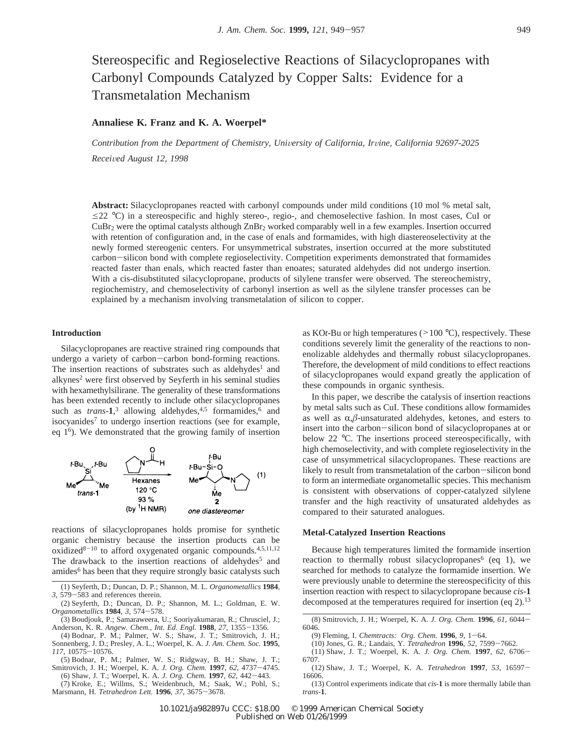# Stereospecific and Regioselective Reactions of Silacyclopropanes with Carbonyl Compounds Catalyzed by Copper Salts: Evidence for a Transmetalation Mechanism

# **Annaliese K. Franz and K. A. Woerpel\***

*Contribution from the Department of Chemistry, University of California, Irvine, California 92697-2025 Recei*V*ed August 12, 1998*

**Abstract:** Silacyclopropanes reacted with carbonyl compounds under mild conditions (10 mol % metal salt,  $\leq$ 22 °C) in a stereospecific and highly stereo-, regio-, and chemoselective fashion. In most cases, CuI or CuBr<sub>2</sub> were the optimal catalysts although ZnBr<sub>2</sub> worked comparably well in a few examples. Insertion occurred with retention of configuration and, in the case of enals and formamides, with high diastereoselectivity at the newly formed stereogenic centers. For unsymmetrical substrates, insertion occurred at the more substituted carbon-silicon bond with complete regioselectivity. Competition experiments demonstrated that formamides reacted faster than enals, which reacted faster than enoates; saturated aldehydes did not undergo insertion. With a cis-disubstituted silacyclopropane, products of silylene transfer were observed. The stereochemistry, regiochemistry, and chemoselectivity of carbonyl insertion as well as the silylene transfer processes can be explained by a mechanism involving transmetalation of silicon to copper.

### **Introduction**

Silacyclopropanes are reactive strained ring compounds that undergo a variety of carbon-carbon bond-forming reactions. The insertion reactions of substrates such as aldehydes<sup>1</sup> and alkynes<sup>2</sup> were first observed by Seyferth in his seminal studies with hexamethylsilirane. The generality of these transformations has been extended recently to include other silacyclopropanes such as  $trans-1$ ,<sup>3</sup> allowing aldehydes,<sup>4,5</sup> formamides,<sup>6</sup> and isocyanides<sup>7</sup> to undergo insertion reactions (see for example, eq  $1<sup>6</sup>$ ). We demonstrated that the growing family of insertion



reactions of silacyclopropanes holds promise for synthetic organic chemistry because the insertion products can be oxidized<sup>8-10</sup> to afford oxygenated organic compounds.<sup>4,5,11,12</sup> The drawback to the insertion reactions of aldehydes<sup>5</sup> and amides<sup>6</sup> has been that they require strongly basic catalysts such

- (1) Seyferth, D.; Duncan, D. P.; Shannon, M. L. *Organometallics* **1984**, *<sup>3</sup>*, 579-583 and references therein.
- (2) Seyferth, D.; Duncan, D. P.; Shannon, M. L.; Goldman, E. W. *Organometallics* **<sup>1984</sup>**, *<sup>3</sup>*, 574-578.
- (3) Boudjouk, P.; Samaraweera, U.; Sooriyakumaran, R.; Chrusciel, J.; Anderson, K. R. *Angew. Chem., Int. Ed. Engl.* **<sup>1988</sup>**, *<sup>27</sup>*, 1355-1356.
- (4) Bodnar, P. M.; Palmer, W. S.; Shaw, J. T.; Smitrovich, J. H.; Sonnenberg, J. D.; Presley, A. L.; Woerpel, K. A. *J. Am. Chem. Soc.* **1995**, *<sup>117</sup>*, 10575-10576.
- (5) Bodnar, P. M.; Palmer, W. S.; Ridgway, B. H.; Shaw, J. T.; Smitrovich, J. H.; Woerpel, K. A. *J. Org. Chem.* **<sup>1997</sup>**, *<sup>62</sup>*, 4737-4745.

(6) Shaw, J. T.; Woerpel, K. A. *J. Org. Chem.* **<sup>1997</sup>**, *<sup>62</sup>*, 442-443. (7) Kroke, E.; Willms, S.; Weidenbruch, M.; Saak, W.; Pohl, S.;

Marsmann, H. *Tetrahedron Lett.* **<sup>1996</sup>**, *<sup>37</sup>*, 3675-3678.

as KO*t*-Bu or high temperatures ( $>100$  °C), respectively. These conditions severely limit the generality of the reactions to nonenolizable aldehydes and thermally robust silacyclopropanes. Therefore, the development of mild conditions to effect reactions of silacyclopropanes would expand greatly the application of these compounds in organic synthesis.

In this paper, we describe the catalysis of insertion reactions by metal salts such as CuI. These conditions allow formamides as well as  $\alpha$ , $\beta$ -unsaturated aldehydes, ketones, and esters to insert into the carbon-silicon bond of silacyclopropanes at or below 22 °C. The insertions proceed stereospecifically, with high chemoselectivity, and with complete regioselectivity in the case of unsymmetrical silacyclopropanes. These reactions are likely to result from transmetalation of the carbon-silicon bond to form an intermediate organometallic species. This mechanism is consistent with observations of copper-catalyzed silylene transfer and the high reactivity of unsaturated aldehydes as compared to their saturated analogues.

## **Metal-Catalyzed Insertion Reactions**

Because high temperatures limited the formamide insertion reaction to thermally robust silacyclopropanes<sup>6</sup> (eq 1), we searched for methods to catalyze the formamide insertion. We were previously unable to determine the stereospecificity of this insertion reaction with respect to silacyclopropane because *cis*-**1** decomposed at the temperatures required for insertion (eq  $2$ ).<sup>13</sup>

- (10) Jones, G. R.; Landais, Y. *Tetrahedron* **<sup>1996</sup>**, *<sup>52</sup>*, 7599-7662.
- (11) Shaw, J. T.; Woerpel, K. A. *J. Org. Chem.* **<sup>1997</sup>**, *<sup>62</sup>*, 6706- 6707.

<sup>(8)</sup> Smitrovich, J. H.; Woerpel, K. A. *J. Org. Chem.* **<sup>1996</sup>**, *<sup>61</sup>*, 6044- 6046.<br>(9) Fleming, I. Chemtracts: Org. Chem. 1996, 9, 1-64.

<sup>(9)</sup> Fleming, I. *Chemtracts: Org. Chem.* **<sup>1996</sup>**, *<sup>9</sup>*, 1-64.

<sup>(12)</sup> Shaw, J. T.; Woerpel, K. A. *Tetrahedron* **<sup>1997</sup>**, *<sup>53</sup>*, 16597- 16606.

<sup>(13)</sup> Control experiments indicate that *cis*-**1** is more thermally labile than *trans*-**1**.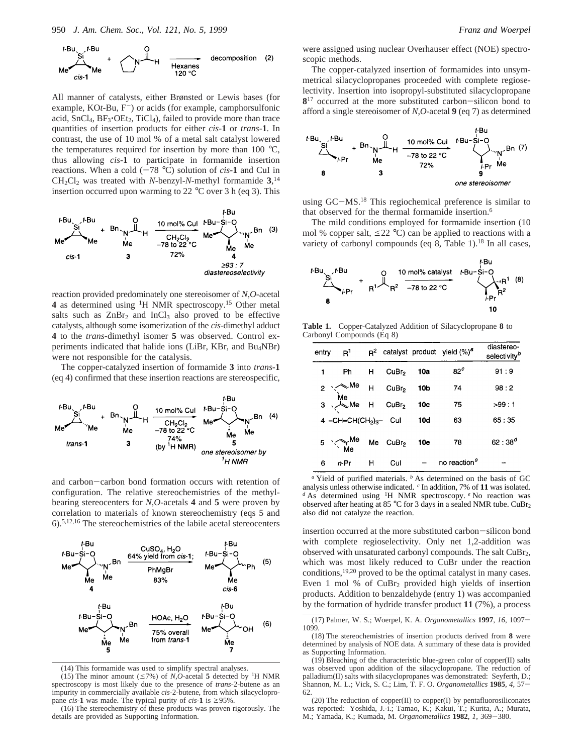

All manner of catalysts, either Brønsted or Lewis bases (for example,  $KOt$ -Bu,  $F^-$ ) or acids (for example, camphorsulfonic acid,  $SnCl<sub>4</sub>, BF<sub>3</sub>·OEt<sub>2</sub>, TiCl<sub>4</sub>$ , failed to provide more than trace quantities of insertion products for either *cis*-**1** or *trans*-**1**. In contrast, the use of 10 mol % of a metal salt catalyst lowered the temperatures required for insertion by more than 100 °C, thus allowing *cis*-**1** to participate in formamide insertion reactions. When a cold  $(-78 \degree C)$  solution of *cis*-1 and CuI in  $CH_2Cl_2$  was treated with *N*-benzyl-*N*-methyl formamide  $3$ ,<sup>14</sup> insertion occurred upon warming to 22  $^{\circ}$ C over 3 h (eq 3). This



reaction provided predominately one stereoisomer of *N*,*O*-acetal **4** as determined using 1H NMR spectroscopy.15 Other metal salts such as  $ZnBr<sub>2</sub>$  and  $InCl<sub>3</sub>$  also proved to be effective catalysts, although some isomerization of the *cis*-dimethyl adduct **4** to the *trans*-dimethyl isomer **5** was observed. Control experiments indicated that halide ions (LiBr, KBr, and Bu4NBr) were not responsible for the catalysis.

The copper-catalyzed insertion of formamide **3** into *trans*-**1** (eq 4) confirmed that these insertion reactions are stereospecific,



and carbon-carbon bond formation occurs with retention of configuration. The relative stereochemistries of the methylbearing stereocenters for *N*,*O*-acetals **4** and **5** were proven by correlation to materials of known stereochemistry (eqs 5 and 6).5,12,16 The stereochemistries of the labile acetal stereocenters



(14) This formamide was used to simplify spectral analyses.

(15) The minor amount ( $\leq$ 7%) of *N*,*O*-acetal **5** detected by <sup>1</sup>H NMR spectroscopy is most likely due to the presence of *trans*-2-butene as an impurity in commercially available *cis*-2-butene, from which silacyclopropane *cis*-1 was made. The typical purity of *cis*-1 is  $\geq$ 95%.

(16) The stereochemistry of these products was proven rigorously. The details are provided as Supporting Information.

were assigned using nuclear Overhauser effect (NOE) spectroscopic methods.

The copper-catalyzed insertion of formamides into unsymmetrical silacyclopropanes proceeded with complete regioselectivity. Insertion into isopropyl-substituted silacyclopropane 8<sup>17</sup> occurred at the more substituted carbon-silicon bond to afford a single stereoisomer of *N*,*O*-acetal **9** (eq 7) as determined



using GC-MS.18 This regiochemical preference is similar to that observed for the thermal formamide insertion.<sup>6</sup>

The mild conditions employed for formamide insertion (10 mol % copper salt,  $\leq$ 22 °C) can be applied to reactions with a variety of carbonyl compounds (eq  $8$ , Table 1).<sup>18</sup> In all cases,



**Table 1.** Copper-Catalyzed Addition of Silacyclopropane **8** to Carbonyl Compounds (Eq 8)

| entry | R <sup>1</sup>                                       |   |                      |                 | $R^2$ catalyst product yield $(\%)^a$ | diastereo-<br>selectivity <sup>b</sup> |
|-------|------------------------------------------------------|---|----------------------|-----------------|---------------------------------------|----------------------------------------|
|       | Ph <sub>a</sub>                                      | н | CuBr <sub>2</sub>    | 10a             | 82 <sup>c</sup>                       | 91:9                                   |
|       | $2 \times 10^{10}$ H                                 |   | CuBr <sub>2</sub>    | 10 <sub>b</sub> | 74                                    | 98:2                                   |
|       | $\overrightarrow{M}$<br>3 Me H CuBr <sub>2</sub> 10c |   |                      |                 | 75                                    | >99 : 1                                |
|       | 4 $-CH=CH(CH2)3$ Cul                                 |   |                      | <b>10d</b>      | 63                                    | 65:35                                  |
|       | $5 \times M_e$                                       |   | Me CuBr <sub>2</sub> | 10e             | 78                                    | $62:38^{d}$                            |
| 6     | $n-Pr$                                               | н | Cul                  |                 | no reaction <sup>e</sup>              |                                        |

*<sup>a</sup>* Yield of purified materials. *<sup>b</sup>* As determined on the basis of GC analysis unless otherwise indicated. *<sup>c</sup>* In addition, 7% of **11** was isolated. *<sup>d</sup>* As determined using <sup>1</sup> H NMR spectroscopy. *<sup>e</sup>* No reaction was observed after heating at 85 °C for 3 days in a sealed NMR tube. CuBr2 also did not catalyze the reaction.

insertion occurred at the more substituted carbon-silicon bond with complete regioselectivity. Only net 1,2-addition was observed with unsaturated carbonyl compounds. The salt CuBr<sub>2</sub>, which was most likely reduced to CuBr under the reaction conditions,19,20 proved to be the optimal catalyst in many cases. Even 1 mol % of CuBr2 provided high yields of insertion products. Addition to benzaldehyde (entry 1) was accompanied by the formation of hydride transfer product **11** (7%), a process

<sup>(17)</sup> Palmer, W. S.; Woerpel, K. A. *Organometallics* **<sup>1997</sup>**, *<sup>16</sup>*, 1097- 1099.

<sup>(18)</sup> The stereochemistries of insertion products derived from **8** were determined by analysis of NOE data. A summary of these data is provided as Supporting Information.

<sup>(19)</sup> Bleaching of the characteristic blue-green color of copper(II) salts was observed upon addition of the silacyclopropane. The reduction of palladium(II) salts with silacyclopropanes was demonstrated: Seyferth, D.; Shannon, M. L.; Vick, S. C.; Lim, T. F. O. *Organometallics* **<sup>1985</sup>**, *<sup>4</sup>*, 57- 62.

<sup>(20)</sup> The reduction of copper(II) to copper(I) by pentafluorosiliconates was reported: Yoshida, J.-i.; Tamao, K.; Kakui, T.; Kurita, A.; Murata, M.; Yamada, K.; Kumada, M. *Organometallics* **<sup>1982</sup>**, *<sup>1</sup>*, 369-380.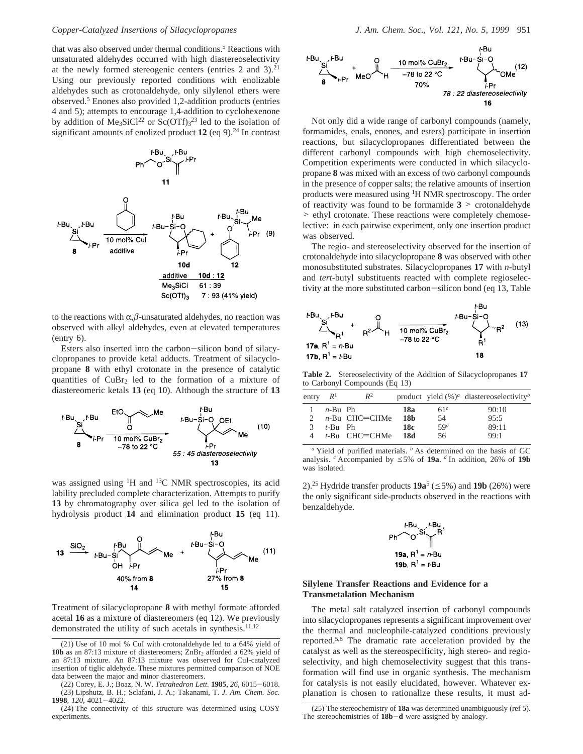that was also observed under thermal conditions.<sup>5</sup> Reactions with unsaturated aldehydes occurred with high diastereoselectivity at the newly formed stereogenic centers (entries  $2$  and  $3$ ).<sup>21</sup> Using our previously reported conditions with enolizable aldehydes such as crotonaldehyde, only silylenol ethers were observed.5 Enones also provided 1,2-addition products (entries 4 and 5); attempts to encourage 1,4-addition to cyclohexenone by addition of  $Me<sub>3</sub>SiCl<sup>22</sup>$  or  $Sc(OTf)<sub>3</sub><sup>23</sup>$  led to the isolation of significant amounts of enolized product 12 (eq 9).<sup>24</sup> In contrast



to the reactions with  $\alpha$ , $\beta$ -unsaturated aldehydes, no reaction was observed with alkyl aldehydes, even at elevated temperatures (entry 6).

Esters also inserted into the carbon-silicon bond of silacyclopropanes to provide ketal adducts. Treatment of silacyclopropane **8** with ethyl crotonate in the presence of catalytic quantities of  $CuBr<sub>2</sub>$  led to the formation of a mixture of diastereomeric ketals **13** (eq 10). Although the structure of **13**



was assigned using <sup>1</sup>H and <sup>13</sup>C NMR spectroscopies, its acid lability precluded complete characterization. Attempts to purify **13** by chromatography over silica gel led to the isolation of hydrolysis product **14** and elimination product **15** (eq 11).



Treatment of silacyclopropane **8** with methyl formate afforded acetal **16** as a mixture of diastereomers (eq 12). We previously demonstrated the utility of such acetals in synthesis. $11,12$ 

(22) Corey, E. J.; Boaz, N. W. *Tetrahedron Lett.* **<sup>1985</sup>**, *<sup>26</sup>*, 6015-6018. (23) Lipshutz, B. H.; Sclafani, J. A.; Takanami, T. *J. Am. Chem. Soc.* **<sup>1998</sup>**, *<sup>120</sup>*, 4021-4022.



Not only did a wide range of carbonyl compounds (namely, formamides, enals, enones, and esters) participate in insertion reactions, but silacyclopropanes differentiated between the different carbonyl compounds with high chemoselectivity. Competition experiments were conducted in which silacyclopropane **8** was mixed with an excess of two carbonyl compounds in the presence of copper salts; the relative amounts of insertion products were measured using 1H NMR spectroscopy. The order of reactivity was found to be formamide  $3$  > crotonaldehyde > ethyl crotonate. These reactions were completely chemoselective: in each pairwise experiment, only one insertion product was observed.

The regio- and stereoselectivity observed for the insertion of crotonaldehyde into silacyclopropane **8** was observed with other monosubstituted substrates. Silacyclopropanes **17** with *n*-butyl and *tert*-butyl substituents reacted with complete regioselectivity at the more substituted carbon-silicon bond (eq 13, Table



**Table 2.** Stereoselectivity of the Addition of Silacyclopropanes **17** to Carbonyl Compounds (Eq 13)

| entry $R^1$ |            | $R^2$            |                 |                 | product yield $(\%)^a$ diastereoselectivity <sup>b</sup> |
|-------------|------------|------------------|-----------------|-----------------|----------------------------------------------------------|
|             | $n$ -Bu Ph |                  | 18a             | 61 <sup>c</sup> | 90:10                                                    |
|             |            | $n$ -Bu CHC=CHMe | 18 <sub>b</sub> | 54              | 95:5                                                     |
| 3           | $t$ -Bu Ph |                  | 18c             | 59d             | 89:11                                                    |
| 4           |            | $t$ -Bu CHC=CHMe | -18d            | 56              | 99:1                                                     |

Yield of purified materials. <sup>*b*</sup> As determined on the basis of GC analysis. <sup>*c*</sup> Accompanied by  $\leq$  5% of **19a**. *d* In addition, 26% of **19b** was isolated.

2).<sup>25</sup> Hydride transfer products  $19a^5$  ( $\leq 5\%$ ) and  $19b$  (26%) were the only significant side-products observed in the reactions with benzaldehyde.

$$
Ph \sim 0.5i \times H^1
$$
  
19a, R<sup>1</sup> = n-Bu  
19b, R<sup>1</sup> = t-Bu

# **Silylene Transfer Reactions and Evidence for a Transmetalation Mechanism**

The metal salt catalyzed insertion of carbonyl compounds into silacyclopropanes represents a significant improvement over the thermal and nucleophile-catalyzed conditions previously reported.5,6 The dramatic rate acceleration provided by the catalyst as well as the stereospecificity, high stereo- and regioselectivity, and high chemoselectivity suggest that this transformation will find use in organic synthesis. The mechanism for catalysis is not easily elucidated, however. Whatever explanation is chosen to rationalize these results, it must ad-

<sup>(21)</sup> Use of 10 mol % CuI with crotonaldehyde led to a 64% yield of 10b as an 87:13 mixture of diastereomers; ZnBr<sub>2</sub> afforded a 62% yield of an 87:13 mixture. An 87:13 mixture was observed for CuI-catalyzed insertion of tiglic aldehyde. These mixtures permitted comparison of NOE data between the major and minor diastereomers.

<sup>(25)</sup> The stereochemistry of **18a** was determined unambiguously (ref 5). The stereochemistries of **18b-d** were assigned by analogy.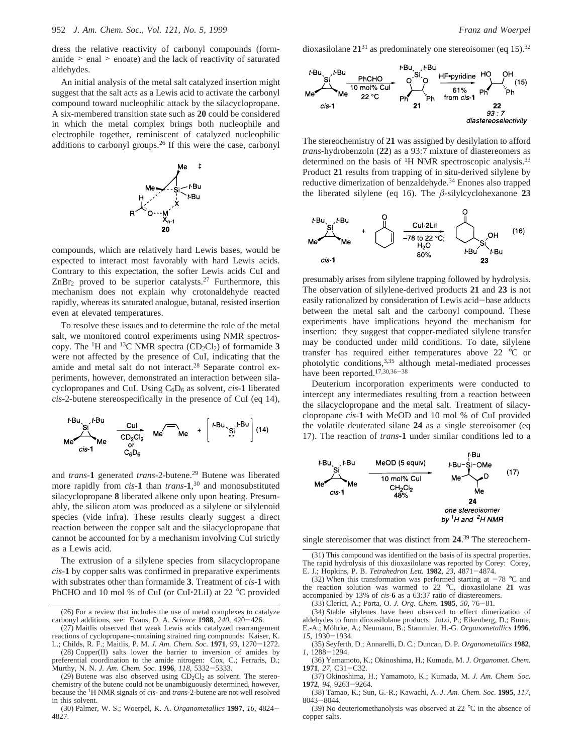dress the relative reactivity of carbonyl compounds (formamide > enal > enoate) and the lack of reactivity of saturated aldehydes.

An initial analysis of the metal salt catalyzed insertion might suggest that the salt acts as a Lewis acid to activate the carbonyl compound toward nucleophilic attack by the silacyclopropane. A six-membered transition state such as **20** could be considered in which the metal complex brings both nucleophile and electrophile together, reminiscent of catalyzed nucleophilic additions to carbonyl groups.26 If this were the case, carbonyl



compounds, which are relatively hard Lewis bases, would be expected to interact most favorably with hard Lewis acids. Contrary to this expectation, the softer Lewis acids CuI and  $ZnBr<sub>2</sub>$  proved to be superior catalysts.<sup>27</sup> Furthermore, this mechanism does not explain why crotonaldehyde reacted rapidly, whereas its saturated analogue, butanal, resisted insertion even at elevated temperatures.

To resolve these issues and to determine the role of the metal salt, we monitored control experiments using NMR spectroscopy. The <sup>1</sup>H and <sup>13</sup>C NMR spectra  $(CD_2Cl_2)$  of formamide **3** were not affected by the presence of CuI, indicating that the amide and metal salt do not interact.<sup>28</sup> Separate control experiments, however, demonstrated an interaction between silacyclopropanes and CuI. Using C6D6 as solvent, *cis*-**1** liberated *cis*-2-butene stereospecifically in the presence of CuI (eq 14),



and *trans*-**1** generated *trans*-2-butene.29 Butene was liberated more rapidly from *cis*-**1** than *trans*-**1**, <sup>30</sup> and monosubstituted silacyclopropane **8** liberated alkene only upon heating. Presumably, the silicon atom was produced as a silylene or silylenoid species (vide infra). These results clearly suggest a direct reaction between the copper salt and the silacyclopropane that cannot be accounted for by a mechanism involving CuI strictly as a Lewis acid.

The extrusion of a silylene species from silacyclopropane *cis*-**1** by copper salts was confirmed in preparative experiments with substrates other than formamide **3**. Treatment of *cis*-**1** with PhCHO and 10 mol % of CuI (or CuI·2LiI) at 22 °C provided dioxasilolane  $21^{31}$  as predominately one stereoisomer (eq 15).<sup>32</sup>



The stereochemistry of **21** was assigned by desilylation to afford *trans*-hydrobenzoin (**22**) as a 93:7 mixture of diastereomers as determined on the basis of <sup>1</sup>H NMR spectroscopic analysis.<sup>33</sup> Product **21** results from trapping of in situ-derived silylene by reductive dimerization of benzaldehyde.<sup>34</sup> Enones also trapped the liberated silylene (eq 16). The *â*-silylcyclohexanone **23**



presumably arises from silylene trapping followed by hydrolysis. The observation of silylene-derived products **21** and **23** is not easily rationalized by consideration of Lewis acid-base adducts between the metal salt and the carbonyl compound. These experiments have implications beyond the mechanism for insertion: they suggest that copper-mediated silylene transfer may be conducted under mild conditions. To date, silylene transfer has required either temperatures above 22 °C or photolytic conditions,<sup>3,35</sup> although metal-mediated processes have been reported.<sup>17,30,36-38</sup>

Deuterium incorporation experiments were conducted to intercept any intermediates resulting from a reaction between the silacyclopropane and the metal salt. Treatment of silacyclopropane *cis*-**1** with MeOD and 10 mol % of CuI provided the volatile deuterated silane **24** as a single stereoisomer (eq 17). The reaction of *trans*-**1** under similar conditions led to a



single stereoisomer that was distinct from **24**. <sup>39</sup> The stereochem-

(35) Seyferth, D.; Annarelli, D. C.; Duncan, D. P. *Organometallics* **1982**, *<sup>1</sup>*, 1288-1294.

<sup>(26)</sup> For a review that includes the use of metal complexes to catalyze carbonyl additions, see: Evans, D. A. *Science* **<sup>1988</sup>**, *<sup>240</sup>*, 420-426.

<sup>(27)</sup> Maitlis observed that weak Lewis acids catalyzed rearrangement reactions of cyclopropane-containing strained ring compounds: Kaiser, K. L.; Childs, R. F.; Maitlis, P. M. *J. Am. Chem. Soc.* **<sup>1971</sup>**, *<sup>93</sup>*, 1270-1272.

<sup>(28)</sup> Copper(II) salts lower the barrier to inversion of amides by preferential coordination to the amide nitrogen: Cox, C.; Ferraris, D.; Murthy, N. N. *J. Am. Chem. Soc.* **<sup>1996</sup>**, *<sup>118</sup>*, 5332-5333.

<sup>(29)</sup> Butene was also observed using  $CD_2Cl_2$  as solvent. The stereochemistry of the butene could not be unambiguously determined, however, because the 1H NMR signals of *cis*- and *trans*-2-butene are not well resolved in this solvent.

<sup>(30)</sup> Palmer, W. S.; Woerpel, K. A. *Organometallics* **<sup>1997</sup>**, *<sup>16</sup>*, 4824- 4827.

<sup>(31)</sup> This compound was identified on the basis of its spectral properties. The rapid hydrolysis of this dioxasilolane was reported by Corey: Corey, E. J.; Hopkins, P. B. *Tetrahedron Lett.* **<sup>1982</sup>**, *<sup>23</sup>*, 4871-4874.

<sup>(32)</sup> When this transformation was performed starting at  $-78$  °C and the reaction solution was warmed to 22 °C, dioxasilolane **21** was accompanied by 13% of *cis*-**6** as a 63:37 ratio of diastereomers.<br>(33) Clerici, A.; Porta, O. J. Org. Chem. **1985**, 50, 76–81.

<sup>(33)</sup> Clerici, A.; Porta, O. *J. Org. Chem.* **<sup>1985</sup>**, *<sup>50</sup>*, 76-81. (34) Stable silylenes have been observed to effect dimerization of aldehydes to form dioxasilolane products: Jutzi, P.; Eikenberg, D.; Bunte, E.-A.; Möhrke, A.; Neumann, B.; Stammler, H.-G. Organometallics 1996, *<sup>15</sup>*, 1930-1934.

<sup>(36)</sup> Yamamoto, K.; Okinoshima, H.; Kumada, M. *J. Organomet. Chem.* **<sup>1971</sup>**, *<sup>27</sup>*, C31-C32.

<sup>(37)</sup> Okinoshima, H.; Yamamoto, K.; Kumada, M. *J. Am. Chem. Soc.* **<sup>1972</sup>**, *<sup>94</sup>*, 9263-9264. (38) Tamao, K.; Sun, G.-R.; Kawachi, A. *J. Am. Chem. Soc.* **1995**, *117*,

<sup>8043</sup>-8044.

<sup>(39)</sup> No deuteriomethanolysis was observed at 22 °C in the absence of copper salts.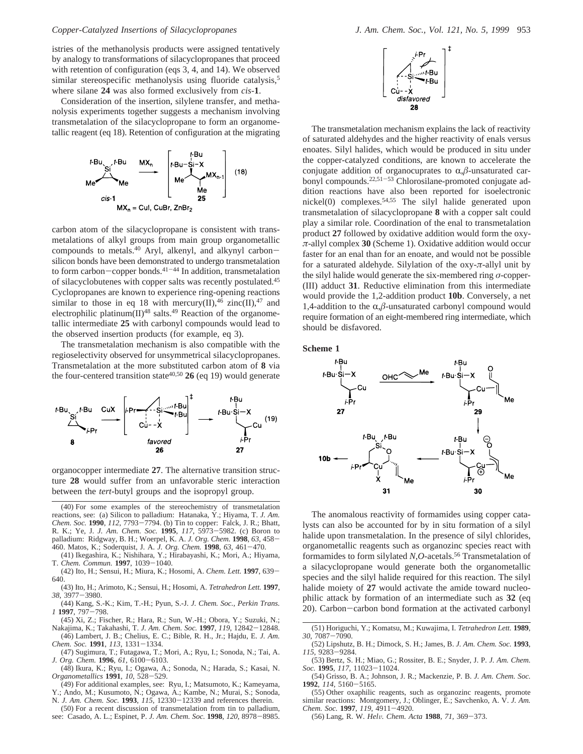istries of the methanolysis products were assigned tentatively by analogy to transformations of silacyclopropanes that proceed with retention of configuration (eqs 3, 4, and 14). We observed similar stereospecific methanolysis using fluoride catalysis,<sup>5</sup> where silane **24** was also formed exclusively from *cis*-**1**.

Consideration of the insertion, silylene transfer, and methanolysis experiments together suggests a mechanism involving transmetalation of the silacyclopropane to form an organometallic reagent (eq 18). Retention of configuration at the migrating



carbon atom of the silacyclopropane is consistent with transmetalations of alkyl groups from main group organometallic compounds to metals.<sup>40</sup> Aryl, alkenyl, and alkynyl carbonsilicon bonds have been demonstrated to undergo transmetalation to form carbon-copper bonds.<sup>41-44</sup> In addition, transmetalation of silacyclobutenes with copper salts was recently postulated.45 Cyclopropanes are known to experience ring-opening reactions similar to those in eq 18 with mercury(II),<sup>46</sup> zinc(II),<sup>47</sup> and electrophilic platinum(II)<sup>48</sup> salts.<sup>49</sup> Reaction of the organometallic intermediate **25** with carbonyl compounds would lead to the observed insertion products (for example, eq 3).

The transmetalation mechanism is also compatible with the regioselectivity observed for unsymmetrical silacyclopropanes. Transmetalation at the more substituted carbon atom of **8** via the four-centered transition state<sup>40,50</sup>  $26$  (eq 19) would generate



organocopper intermediate **27**. The alternative transition structure **28** would suffer from an unfavorable steric interaction between the *tert*-butyl groups and the isopropyl group.

- (43) Ito, H.; Arimoto, K.; Sensui, H.; Hosomi, A. *Tetrahedron Lett.* **1997**, *<sup>38</sup>*, 3977-3980.
- (44) Kang, S.-K.; Kim, T.-H.; Pyun, S.-J. *J. Chem. Soc., Perkin Trans. <sup>1</sup>* **<sup>1997</sup>**, 797-798.
- (45) Xi, Z.; Fischer, R.; Hara, R.; Sun, W.-H.; Obora, Y.; Suzuki, N.; Nakajima, K.; Takahashi, T. *J. Am. Chem. Soc.* **<sup>1997</sup>**, *<sup>119</sup>*, 12842-12848. (46) Lambert, J. B.; Chelius, E. C.; Bible, R. H., Jr.; Hajdu, E. *J. Am.*
- *Chem. Soc.* **<sup>1991</sup>**, *<sup>113</sup>*, 1331-1334. (47) Sugimura, T.; Futagawa, T.; Mori, A.; Ryu, I.; Sonoda, N.; Tai, A.
- *J. Org. Chem.* **<sup>1996</sup>**, *<sup>61</sup>*, 6100-6103. (48) Ikura, K.; Ryu, I.; Ogawa, A.; Sonoda, N.; Harada, S.; Kasai, N.
- *Organometallics* **<sup>1991</sup>**, *<sup>10</sup>*, 528-529. (49) For additional examples, see: Ryu, I.; Matsumoto, K.; Kameyama,
- Y.; Ando, M.; Kusumoto, N.; Ogawa, A.; Kambe, N.; Murai, S.; Sonoda,
- N. *J. Am. Chem. Soc.* **<sup>1993</sup>**, *<sup>115</sup>*, 12330-12339 and references therein. (50) For a recent discussion of transmetalation from tin to palladium,
- see: Casado, A. L.; Espinet, P. *J. Am. Chem. Soc.* **<sup>1998</sup>**, *<sup>120</sup>*, 8978-8985.



The transmetalation mechanism explains the lack of reactivity of saturated aldehydes and the higher reactivity of enals versus enoates. Silyl halides, which would be produced in situ under the copper-catalyzed conditions, are known to accelerate the conjugate addition of organocuprates to  $\alpha$ , $\beta$ -unsaturated carbonyl compounds.<sup>22,51-53</sup> Chlorosilane-promoted conjugate addition reactions have also been reported for isoelectronic nickel(0) complexes.54,55 The silyl halide generated upon transmetalation of silacyclopropane **8** with a copper salt could play a similar role. Coordination of the enal to transmetalation product **27** followed by oxidative addition would form the oxy*π*-allyl complex **30** (Scheme 1). Oxidative addition would occur faster for an enal than for an enoate, and would not be possible for a saturated aldehyde. Silylation of the oxy-*π*-allyl unit by the silyl halide would generate the six-membered ring *σ*-copper- (III) adduct **31**. Reductive elimination from this intermediate would provide the 1,2-addition product **10b**. Conversely, a net 1,4-addition to the  $\alpha$ , $\beta$ -unsaturated carbonyl compound would require formation of an eight-membered ring intermediate, which should be disfavored.

**Scheme 1**



The anomalous reactivity of formamides using copper catalysts can also be accounted for by in situ formation of a silyl halide upon transmetalation. In the presence of silyl chlorides, organometallic reagents such as organozinc species react with formamides to form silylated *N*,*O*-acetals.56 Transmetalation of a silacyclopropane would generate both the organometallic species and the silyl halide required for this reaction. The silyl halide moiety of 27 would activate the amide toward nucleophilic attack by formation of an intermediate such as **32** (eq 20). Carbon-carbon bond formation at the activated carbonyl

- (52) Lipshutz, B. H.; Dimock, S. H.; James, B. *J. Am. Chem. Soc.* **1993**, *<sup>115</sup>*, 9283-9284.
- (53) Bertz, S. H.; Miao, G.; Rossiter, B. E.; Snyder, J. P. *J. Am. Chem. Soc.* **<sup>1995</sup>**, *<sup>117</sup>*, 11023-11024.
- (54) Grisso, B. A.; Johnson, J. R.; Mackenzie, P. B. *J. Am. Chem. Soc.* **<sup>1992</sup>**, *<sup>114</sup>*, 5160-5165.
- (55) Other oxaphilic reagents, such as organozinc reagents, promote similar reactions: Montgomery, J.; Oblinger, E.; Savchenko, A. V. *J. Am. Chem. Soc.* **<sup>1997</sup>**, *<sup>119</sup>*, 4911-4920.
- (56) Lang, R. W. *Hel*V*. Chem. Acta* **<sup>1988</sup>**, *<sup>71</sup>*, 369-373.

<sup>(40)</sup> For some examples of the stereochemistry of transmetalation reactions, see: (a) Silicon to palladium: Hatanaka, Y.; Hiyama, T. *J. Am. Chem. Soc.* **1990**, *112*, 7793–7794. (b) Tin to copper: Falck, J. R.; Bhatt, *Chem. Soc.* **<sup>1990</sup>**, *<sup>112</sup>*, 7793-7794. (b) Tin to copper: Falck, J. R.; Bhatt, R. K.; Ye, J. *J. Am. Chem. Soc.* **<sup>1995</sup>**, *<sup>117</sup>*, 5973-5982. (c) Boron to palladium: Ridgway, B. H.; Woerpel, K. A. *J. Org. Chem.* **<sup>1998</sup>**, *<sup>63</sup>*, 458- 460. Matos, K.; Soderquist, J. A. *J. Org. Chem.* **<sup>1998</sup>**, *<sup>63</sup>*, 461-470.

<sup>(41)</sup> Ikegashira, K.; Nishihara, Y.; Hirabayashi, K.; Mori, A.; Hiyama, T. *Chem. Commun.* **<sup>1997</sup>**, 1039-1040.

<sup>(42)</sup> Ito, H.; Sensui, H.; Miura, K.; Hosomi, A. *Chem. Lett.* **<sup>1997</sup>**, 639- 640.

<sup>(51)</sup> Horiguchi, Y.; Komatsu, M.; Kuwajima, I. *Tetrahedron Lett.* **1989**, *<sup>30</sup>*, 7087-7090.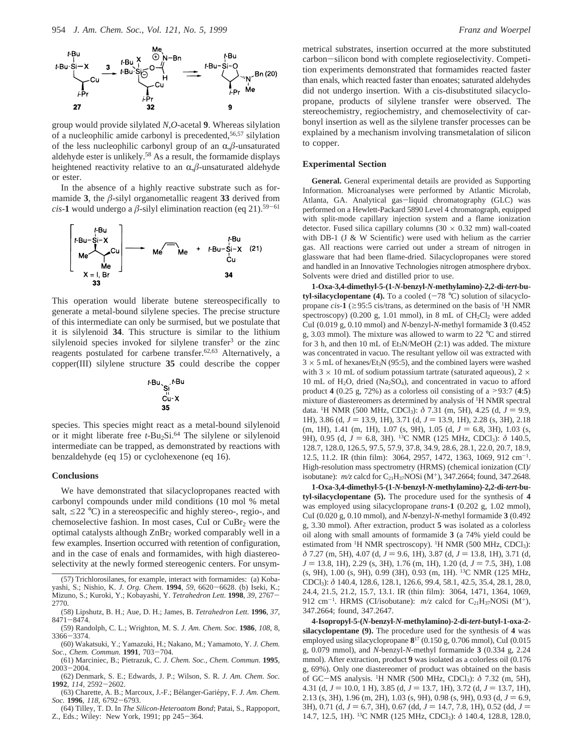

group would provide silylated *N*,*O*-acetal **9**. Whereas silylation of a nucleophilic amide carbonyl is precedented,56,57 silylation of the less nucleophilic carbonyl group of an  $\alpha$ , $\beta$ -unsaturated aldehyde ester is unlikely.58 As a result, the formamide displays heightened reactivity relative to an  $\alpha$ , $\beta$ -unsaturated aldehyde or ester.

In the absence of a highly reactive substrate such as formamide **3**, the  $\beta$ -silyl organometallic reagent **33** derived from *cis*-1 would undergo a  $\beta$ -silyl elimination reaction (eq 21).<sup>59-61</sup>



This operation would liberate butene stereospecifically to generate a metal-bound silylene species. The precise structure of this intermediate can only be surmised, but we postulate that it is silylenoid **34**. This structure is similar to the lithium silylenoid species invoked for silylene transfer<sup>3</sup> or the zinc reagents postulated for carbene transfer.<sup>62,63</sup> Alternatively, a copper(III) silylene structure **35** could describe the copper

$$
t-Bu \underbrace{S_1^{i}}_{\substack{C_u-X \\ S_u \\ 35}}
$$

species. This species might react as a metal-bound silylenoid or it might liberate free *t*-Bu2Si.64 The silylene or silylenoid intermediate can be trapped, as demonstrated by reactions with benzaldehyde (eq 15) or cyclohexenone (eq 16).

### **Conclusions**

We have demonstrated that silacyclopropanes reacted with carbonyl compounds under mild conditions (10 mol % metal salt,  $\leq$ 22 °C) in a stereospecific and highly stereo-, regio-, and chemoselective fashion. In most cases, CuI or CuBr<sub>2</sub> were the optimal catalysts although ZnBr2 worked comparably well in a few examples. Insertion occurred with retention of configuration, and in the case of enals and formamides, with high diastereoselectivity at the newly formed stereogenic centers. For unsym-

(64) Tilley, T. D. In *The Silicon-Heteroatom Bond*; Patai, S., Rappoport, Z., Eds.; Wiley: New York, 1991; pp 245-364.

metrical substrates, insertion occurred at the more substituted carbon-silicon bond with complete regioselectivity. Competition experiments demonstrated that formamides reacted faster than enals, which reacted faster than enoates; saturated aldehydes did not undergo insertion. With a cis-disubstituted silacyclopropane, products of silylene transfer were observed. The stereochemistry, regiochemistry, and chemoselectivity of carbonyl insertion as well as the silylene transfer processes can be explained by a mechanism involving transmetalation of silicon to copper.

### **Experimental Section**

**General.** General experimental details are provided as Supporting Information. Microanalyses were performed by Atlantic Microlab, Atlanta, GA. Analytical gas-liquid chromatography (GLC) was performed on a Hewlett-Packard 5890 Level 4 chromatograph, equipped with split-mode capillary injection system and a flame ionization detector. Fused silica capillary columns  $(30 \times 0.32 \text{ mm})$  wall-coated with DB-1 (J  $&$  W Scientific) were used with helium as the carrier gas. All reactions were carried out under a stream of nitrogen in glassware that had been flame-dried. Silacyclopropanes were stored and handled in an Innovative Technologies nitrogen atmosphere drybox. Solvents were dried and distilled prior to use.

**1-Oxa-3,4-dimethyl-5-(1-***N***-benzyl-***N***-methylamino)-2,2-di-***tert***-butyl-silacyclopentane (4).** To a cooled  $(-78 \degree C)$  solution of silacyclopropane *cis*-1 ( $\geq$ 95:5 cis/trans, as determined on the basis of <sup>1</sup>H NMR spectroscopy) (0.200 g, 1.01 mmol), in 8 mL of  $CH<sub>2</sub>Cl<sub>2</sub>$  were added CuI (0.019 g, 0.10 mmol) and *N*-benzyl-*N*-methyl formamide **3** (0.452 g, 3.03 mmol). The mixture was allowed to warm to 22 °C and stirred for 3 h, and then 10 mL of  $Et_3N/MeOH$  (2:1) was added. The mixture was concentrated in vacuo. The resultant yellow oil was extracted with  $3 \times 5$  mL of hexanes/Et<sub>3</sub>N (95:5), and the combined layers were washed with 3  $\times$  10 mL of sodium potassium tartrate (saturated aqueous), 2  $\times$ 10 mL of H2O, dried (Na2SO4), and concentrated in vacuo to afford product **<sup>4</sup>** (0.25 g, 72%) as a colorless oil consisting of a >93:7 (**4**:**5**) mixture of diastereomers as determined by analysis of <sup>1</sup>H NMR spectral data. <sup>1</sup>H NMR (500 MHz, CDCl<sub>3</sub>): δ 7.31 (m, 5H), 4.25 (d,  $J = 9.9$ , 1H), 3.86 (d,  $J = 13.9$ , 1H), 3.71 (d,  $J = 13.9$ , 1H), 2.28 (s, 3H), 2.18 (m, 1H), 1.41 (m, 1H), 1.07 (s, 9H), 1.05 (d,  $J = 6.8$ , 3H), 1.03 (s, 9H), 0.95 (d, *J* = 6.8, 3H). <sup>13</sup>C NMR (125 MHz, CDCl<sub>3</sub>): δ 140.5, 128.7, 128.0, 126.5, 97.5, 57.9, 37.8, 34.9, 28.6, 28.1, 22.0, 20.7, 18.9, 12.5, 11.2. IR (thin film): 3064, 2957, 1472, 1363, 1069, 912 cm<sup>-1</sup>. High-resolution mass spectrometry (HRMS) (chemical ionization (CI)/ isobutane): *m/z* calcd for C<sub>21</sub>H<sub>37</sub>NOSi (M<sup>+</sup>), 347.2664; found, 347.2648.

**1-Oxa-3,4-dimethyl-5-(1-***N***-benzyl-***N***-methylamino)-2,2-di-***tert***-butyl-silacyclopentane (5).** The procedure used for the synthesis of **4** was employed using silacyclopropane *trans*-**1** (0.202 g, 1.02 mmol), CuI (0.020 g, 0.10 mmol), and *N*-benzyl-*N*-methyl formamide **3** (0.492 g, 3.30 mmol). After extraction, product **5** was isolated as a colorless oil along with small amounts of formamide **3** (a 74% yield could be estimated from <sup>1</sup>H NMR spectroscopy). <sup>1</sup>H NMR (500 MHz, CDCl<sub>3</sub>): *δ* 7.27 (m, 5H), 4.07 (d, *J* = 9.6, 1H), 3.87 (d, *J* = 13.8, 1H), 3.71 (d,  $J = 13.8$ , 1H), 2.29 (s, 3H), 1.76 (m, 1H), 1.20 (d,  $J = 7.5$ , 3H), 1.08 (s, 9H), 1.00 (s, 9H), 0.99 (3H), 0.93 (m, 1H). 13C NMR (125 MHz, CDCl3): *δ* 140.4, 128.6, 128.1, 126.6, 99.4, 58.1, 42.5, 35.4, 28.1, 28.0, 24.4, 21.5, 21.2, 15.7, 13.1. IR (thin film): 3064, 1471, 1364, 1069, 912 cm<sup>-1</sup>. HRMS (CI/isobutane):  $m/z$  calcd for C<sub>21</sub>H<sub>37</sub>NOSi (M<sup>+</sup>), 347.2664; found, 347.2647.

**4-Isopropyl-5-(***N***-benzyl-***N***-methylamino)-2-di-***tert***-butyl-1-oxa-2 silacyclopentane (9).** The procedure used for the synthesis of **4** was employed using silacyclopropane **8**<sup>17</sup> (0.150 g, 0.706 mmol), CuI (0.015 g, 0.079 mmol), and *N*-benzyl-*N*-methyl formamide **3** (0.334 g, 2.24 mmol). After extraction, product **9** was isolated as a colorless oil (0.176 g, 69%). Only one diastereomer of product was obtained on the basis of GC-MS analysis. 1H NMR (500 MHz, CDCl3): *<sup>δ</sup>* 7.32 (m, 5H), 4.31 (d,  $J = 10.0, 1$  H), 3.85 (d,  $J = 13.7, 1$ H), 3.72 (d,  $J = 13.7, 1$ H), 2.13 (s, 3H), 1.96 (m, 2H), 1.03 (s, 9H), 0.98 (s, 9H), 0.93 (d,  $J = 6.9$ , 3H), 0.71 (d,  $J = 6.7$ , 3H), 0.67 (dd,  $J = 14.7, 7.8, 1H$ ), 0.52 (dd,  $J =$ 14.7, 12.5, 1H). 13C NMR (125 MHz, CDCl3): *δ* 140.4, 128.8, 128.0,

<sup>(57)</sup> Trichlorosilanes, for example, interact with formamides: (a) Kobayashi, S.; Nishio, K. *J. Org. Chem.* **<sup>1994</sup>**, *<sup>59</sup>*, 6620-6628. (b) Iseki, K.; Mizuno, S.; Kuroki, Y.; Kobayashi, Y. *Tetrahedron Lett.* **<sup>1998</sup>**, *<sup>39</sup>*, 2767- 2770.

<sup>(58)</sup> Lipshutz, B. H.; Aue, D. H.; James, B. *Tetrahedron Lett.* **1996**, *37*, <sup>8471</sup>-8474.

<sup>(59)</sup> Randolph, C. L.; Wrighton, M. S. *J. Am. Chem. Soc.* **1986**, *108*, 8, <sup>3366</sup>-3374.

<sup>(60)</sup> Wakatsuki, Y.; Yamazuki, H.; Nakano, M.; Yamamoto, Y. *J. Chem. Soc., Chem. Commun.* **<sup>1991</sup>**, 703-704.

<sup>(61)</sup> Marciniec, B.; Pietrazuk, C. *J. Chem. Soc., Chem. Commun.* **1995**, <sup>2003</sup>-2004.

<sup>(62)</sup> Denmark, S. E.; Edwards, J. P.; Wilson, S. R. *J. Am. Chem. Soc.* **<sup>1992</sup>**, *<sup>114</sup>*, 2592-2602.

<sup>(63)</sup> Charette, A. B.; Marcoux, J.-F.; Bélanger-Gariépy, F. *J. Am. Chem. Soc.* **<sup>1996</sup>**, *<sup>118</sup>*, 6792-6793.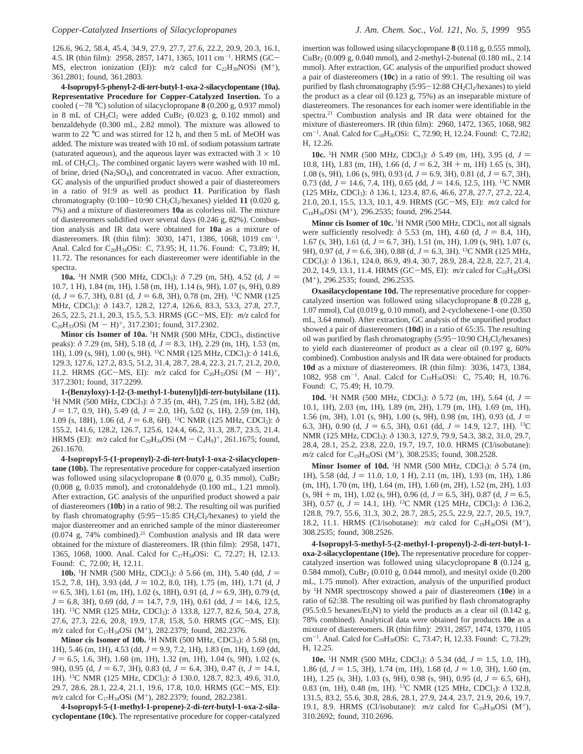126.6, 96.2, 58.4, 45.4, 34.9, 27.9, 27.7, 27.6, 22.2, 20.9, 20.3, 16.1, 4.5. IR (thin film): 2958, 2857, 1471, 1365, 1011 cm<sup>-1</sup>. HRMS (GC-<br>MS electron ionization (ED):  $m/z$  calcd for  $CaH_2NOSi$  (M<sup>+</sup>) MS, electron ionization (EI)):  $m/z$  calcd for C<sub>22</sub>H<sub>39</sub>NOSi (M<sup>+</sup>), 361.2801; found, 361.2803.

**4-Isopropyl-5-phenyl-2-di-***tert***-butyl-1-oxa-2-silacyclopentane (10a). Representative Procedure for Copper-Catalyzed Insertion.** To a cooled  $(-78 \degree C)$  solution of silacyclopropane **8** (0.200 g, 0.937 mmol) in 8 mL of  $CH_2Cl_2$  were added  $CuBr_2$  (0.023 g, 0.102 mmol) and benzaldehyde (0.300 mL, 2.82 mmol). The mixture was allowed to warm to 22 °C and was stirred for 12 h, and then 5 mL of MeOH was added. The mixture was treated with 10 mL of sodium potassium tartrate (saturated aqueous), and the aqueous layer was extracted with  $3 \times 10$ mL of CH2Cl2. The combined organic layers were washed with 10 mL of brine, dried (Na2SO4), and concentrated in vacuo. After extraction, GC analysis of the unpurified product showed a pair of diastereomers in a ratio of 91:9 as well as product **11**. Purification by flash chromatography  $(0:100-10:90 \text{ CH}_2\text{Cl}_2/\text{hexanes})$  yielded 11  $(0.020 \text{ g})$ , 7%) and a mixture of diastereomers **10a** as colorless oil. The mixture of diastereomers solidified over several days (0.246 g, 82%). Combustion analysis and IR data were obtained for **10a** as a mixture of diastereomers. IR (thin film): 3030, 1471, 1386, 1068, 1019 cm<sup>-1</sup>. Anal. Calcd for C<sub>20</sub>H<sub>34</sub>OSi: C, 73.95; H, 11.76. Found: C, 73.89; H, 11.72. The resonances for each diastereomer were identifiable in the spectra.

**10a.** <sup>1</sup>H NMR (500 MHz, CDCl<sub>3</sub>):  $\delta$  7.29 (m, 5H), 4.52 (d,  $J =$ <br>7 1 H) 1 84 (m, 1H) 1 58 (m, 1H) 1 14 (s, 9H) 1 07 (s, 9H) 0 89 10.7, 1 H), 1.84 (m, 1H), 1.58 (m, 1H), 1.14 (s, 9H), 1.07 (s, 9H), 0.89  $(d, J = 6.7, 3H), 0.81$   $(d, J = 6.8, 3H), 0.78$  (m, 2H). <sup>13</sup>C NMR (125) MHz, CDCl3): *δ* 143.7, 128.2, 127.4, 126.6, 83.3, 53.3, 27.8, 27.7, 26.5, 22.5, 21.1, 20.3, 15.5, 5.3. HRMS (GC-MS, EI): *m/z* calcd for  $C_{20}H_{33}OSi$  (M - H)<sup>+</sup>, 317.2301; found, 317.2302.

**Minor cis Isomer of 10a.** <sup>1</sup>H NMR (500 MHz, CDCl<sub>3</sub>, distinctive peaks):  $\delta$  7.29 (m, 5H), 5.18 (d, *J* = 8.3, 1H), 2.29 (m, 1H), 1.53 (m, 1H), 1.09 (s, 9H), 1.00 (s, 9H). 13C NMR (125 MHz, CDCl3): *δ* 141.6, 129.3, 127.6, 127.2, 83.5, 51.2, 31.4, 28.7, 28.4, 22.3, 21.7, 21.2, 20.0, 11.2. HRMS (GC-MS, EI):  $m/z$  calcd for C<sub>20</sub>H<sub>33</sub>OSi (M - H)<sup>+</sup>, 317.2301; found, 317.2299.

**1-(Benzyloxy)-1-[2-(3-methyl-1-butenyl)]di-***tert***-butylsilane (11).** <sup>1</sup>H NMR (500 MHz, CDCl<sub>3</sub>):  $\delta$  7.35 (m, 4H), 7.25 (m, 1H), 5.82 (dd,  $J = 1.7, 0.9, 1H$ , 5.49 (d,  $J = 2.0, 1H$ ), 5.02 (s, 1H), 2.59 (m, 1H), 1.09 (s, 18H), 1.06 (d, *J* = 6.8, 6H). <sup>13</sup>C NMR (125 MHz, CDCl<sub>3</sub>): *δ* 155.2, 141.6, 128.2, 126.7, 125.6, 124.4, 66.2, 31.3, 28.7, 23.5, 21.4. HRMS (EI):  $m/z$  calcd for C<sub>20</sub>H<sub>34</sub>OSi (M - C<sub>4</sub>H<sub>9</sub>)<sup>+</sup>, 261.1675; found, 261.1670.

**4-Isopropyl-5-(1-propenyl)-2-di-***tert***-butyl-1-oxa-2-silacyclopentane (10b).** The representative procedure for copper-catalyzed insertion was followed using silacyclopropane 8 (0.070 g, 0.35 mmol), CuBr<sub>2</sub> (0.008 g, 0.035 mmol), and crotonaldehyde (0.100 mL, 1.21 mmol). After extraction, GC analysis of the unpurified product showed a pair of diastereomers (**10b**) in a ratio of 98:2. The resulting oil was purified by flash chromatography  $(5:95-15:85 \text{ CH}_2\text{Cl}_2/\text{hexanes})$  to yield the major diastereomer and an enriched sample of the minor diastereomer  $(0.074 \text{ g}, 74\%$  combined).<sup>21</sup> Combustion analysis and IR data were obtained for the mixture of diastereomers. IR (thin film): 2958, 1471, 1365, 1068, 1000. Anal. Calcd for C17H34OSi: C, 72.27; H, 12.13. Found: C, 72.00; H, 12.11.

**10b.** <sup>1</sup>H NMR (500 MHz, CDCl<sub>3</sub>):  $\delta$  5.66 (m, 1H), 5.40 (dd,  $J =$ 15.2, 7.8, 1H), 3.93 (dd,  $J = 10.2$ , 8.0, 1H), 1.75 (m, 1H), 1.71 (d, *J*  $= 6.5, 3H$ ), 1.61 (m, 1H), 1.02 (s, 18H), 0.91 (d,  $J = 6.9, 3H$ ), 0.79 (d, *J* = 6.8, 3H), 0.69 (dd, *J* = 14.7, 7.9, 1H), 0.61 (dd, *J* = 14.6, 12.5, 1H). 13C NMR (125 MHz, CDCl3): *δ* 133.8, 127.7, 82.6, 50.4, 27.8, 27.6, 27.3, 22.6, 20.8, 19.9, 17.8, 15.8, 5.0. HRMS (GC-MS, EI): *m/z* calcd for C<sub>17</sub>H<sub>34</sub>OSi (M<sup>+</sup>), 282.2379; found, 282.2376.

**Minor cis Isomer of 10b.** <sup>1</sup>H NMR (500 MHz, CDCl<sub>3</sub>): *δ* 5.68 (m, 1H), 5.46 (m, 1H), 4.53 (dd,  $J = 9.9, 7.2, 1H$ ), 1.83 (m, 1H), 1.69 (dd, *J* = 6.5, 1.6, 3H), 1.60 (m, 1H), 1.32 (m, 1H), 1.04 (s, 9H), 1.02 (s, 9H), 0.95 (d,  $J = 6.7$ , 3H), 0.83 (d,  $J = 6.4$ , 3H), 0.47 (t,  $J = 14.1$ , 1H). 13C NMR (125 MHz, CDCl3): *δ* 130.0, 128.7, 82.3, 49.6, 31.0, 29.7, 28.6, 28.1, 22.4, 21.1, 19.6, 17.8, 10.0. HRMS (GC-MS, EI): *m/z* calcd for C<sub>17</sub>H<sub>34</sub>OSi (M<sup>+</sup>), 282.2379; found, 282.2381.

**4-Isopropyl-5-(1-methyl-1-propene)-2-di-***tert***-butyl-1-oxa-2-silacyclopentane (10c).** The representative procedure for copper-catalyzed insertion was followed using silacyclopropane **8** (0.118 g, 0.555 mmol), CuBr2 (0.009 g, 0.040 mmol), and 2-methyl-2-butenal (0.180 mL, 2.14 mmol). After extraction, GC analysis of the unpurified product showed a pair of diastereomers (**10c**) in a ratio of 99:1. The resulting oil was purified by flash chromatography  $(5:95-12:88 \text{ CH}_2\text{Cl}_2/\text{hexanes})$  to yield the product as a clear oil (0.123 g, 75%) as an inseparable mixture of diastereomers. The resonances for each isomer were identifiable in the spectra.<sup>21</sup> Combustion analysis and IR data were obtained for the mixture of diastereomers. IR (thin film): 2960, 1472, 1365, 1068, 982 cm-<sup>1</sup> . Anal. Calcd for C18H36OSi: C, 72.90; H, 12.24. Found: C, 72.82; H, 12.26.

**10c.** <sup>1</sup>H NMR (500 MHz, CDCl<sub>3</sub>):  $\delta$  5.49 (m, 1H), 3.95 (d, *J* = 10.8, 1H), 1.83 (m, 1H), 1.66 (d,  $J = 6.2$ , 3H + m, 1H) 1.65 (s, 3H), 1.08 (s, 9H), 1.06 (s, 9H), 0.93 (d,  $J = 6.9$ , 3H), 0.81 (d,  $J = 6.7$ , 3H), 0.73 (dd,  $J = 14.6, 7.4, 1H$ ), 0.65 (dd,  $J = 14.6, 12.5, 1H$ ). <sup>13</sup>C NMR (125 MHz, CDCl3): *δ* 136.1, 123.4, 87.6, 46.6, 27.8, 27.7, 27.2, 22.4, 21.0, 20.1, 15.5, 13.3, 10.1, 4.9. HRMS (GC-MS, EI): *m/z* calcd for  $C_{18}H_{36}OSi$  (M<sup>+</sup>), 296.2535; found, 296.2544.

Minor cis Isomer of 10c. <sup>1</sup>H NMR (500 MHz, CDCl<sub>3</sub>, not all signals were sufficiently resolved):  $\delta$  5.53 (m, 1H), 4.60 (d,  $J = 8.4$ , 1H), 1.67 (s, 3H), 1.61 (d,  $J = 6.7$ , 3H), 1.51 (m, 1H), 1.09 (s, 9H), 1.07 (s, 9H), 0.97 (d, *J* = 6.6, 3H), 0.88 (d, *J* = 6.3, 3H). <sup>13</sup>C NMR (125 MHz, CDCl3): *δ* 136.1, 124.0, 86.9, 49.4, 30.7, 28.9, 28.4, 22.8, 22.7, 21.4, 20.2, 14.9, 13.1, 11.4. HRMS (GC-MS, EI):  $m/z$  calcd for C<sub>18</sub>H<sub>36</sub>OSi (M+), 296.2535; found, 296.2535.

**Oxasilacyclopentane 10d.** The representative procedure for coppercatalyzed insertion was followed using silacyclopropane **8** (0.228 g, 1.07 mmol), CuI (0.019 g, 0.10 mmol), and 2-cyclohexene-1-one (0.350 mL, 3.64 mmol). After extraction, GC analysis of the unpurified product showed a pair of diastereomers (**10d**) in a ratio of 65:35. The resulting oil was purified by flash chromatography  $(5:95-10:90 \text{ CH}_2\text{Cl}_2/\text{hexanes})$ to yield each diastereomer of product as a clear oil (0.197 g, 60% combined). Combustion analysis and IR data were obtained for products **10d** as a mixture of diastereomers. IR (thin film): 3036, 1473, 1384, 1082, 958 cm<sup>-1</sup>. Anal. Calcd for C<sub>19</sub>H<sub>36</sub>OSi: C, 75.40; H, 10.76. Found: C, 75.49; H, 10.79.

**10d.** <sup>1</sup>H NMR (500 MHz, CDCl<sub>3</sub>):  $\delta$  5.72 (m, 1H), 5.64 (d,  $J =$  1.1H), 2.03 (m, 1H), 1.89 (m, 2H), 1.79 (m, 1H), 1.69 (m, 1H) 10.1, 1H), 2.03 (m, 1H), 1.89 (m, 2H), 1.79 (m, 1H), 1.69 (m, 1H), 1.56 (m, 3H), 1.01 (s, 9H), 1.00 (s, 9H), 0.98 (m, 1H), 0.93 (d, *<sup>J</sup>* ) 6.3, 3H), 0.90 (d,  $J = 6.5$ , 3H), 0.61 (dd,  $J = 14.9$ , 12.7, 1H). <sup>13</sup>C NMR (125 MHz, CDCl3): *δ* 130.3, 127.9, 79.9, 54.3, 38.2, 31.0, 29.7, 28.4, 28.1, 25.2, 23.8, 22.0, 19.7, 19.7, 10.0. HRMS (CI/isobutane): *m/z* calcd for C19H36OSi (M+), 308.2535; found, 308.2528.

**Minor Isomer of 10d.** 1H NMR (500 MHz, CDCl3): *δ* 5.74 (m, 1H), 5.58 (dd,  $J = 11.0, 1.0, 1$  H), 2.11 (m, 1H), 1.93 (m, 1H), 1.86 (m, 1H), 1.70 (m, 1H), 1.64 (m, 1H), 1.60 (m, 2H), 1.52 (m, 2H), 1.03  $(s, 9H + m, 1H)$ , 1.02  $(s, 9H)$ , 0.96  $(d, J = 6.5, 3H)$ , 0.87  $(d, J = 6.5, 5H)$ 3H), 0.57 (t,  $J = 14.1$ , 1H). <sup>13</sup>C NMR (125 MHz, CDCl<sub>3</sub>):  $\delta$  136.2, 128.8, 79.7, 55.6, 31.3, 30.2, 28.7, 28.5, 25.5, 22.9, 22.7, 20.5, 19.7, 18.2, 11.1. HRMS (CI/isobutane):  $m/z$  calcd for C<sub>19</sub>H<sub>36</sub>OSi (M<sup>+</sup>), 308.2535; found, 308.2526.

**4-Isopropyl-5-methyl-5-(2-methyl-1-propenyl)-2-di-***tert***-butyl-1 oxa-2-silacyclopentane (10e).** The representative procedure for coppercatalyzed insertion was followed using silacyclopropane **8** (0.124 g, 0.584 mmol), CuBr2 (0.010 g, 0.044 mmol), and mesityl oxide (0.200 mL, 1.75 mmol). After extraction, analysis of the unpurified product by 1H NMR spectroscopy showed a pair of diastereomers (**10e**) in a ratio of 62:38. The resulting oil was purified by flash chromatography  $(95.5:0.5$  hexanes/Et<sub>3</sub>N) to yield the products as a clear oil  $(0.142 \text{ g})$ , 78% combined). Analytical data were obtained for products **10e** as a mixture of diastereomers. IR (thin film): 2931, 2857, 1474, 1370, 1105 cm-<sup>1</sup> . Anal. Calcd for C19H38OSi: C, 73.47; H, 12.33. Found: C, 73.29; H, 12.25.

**10e.** <sup>1</sup>H NMR (500 MHz, CDCl<sub>3</sub>):  $\delta$  5.34 (dd, *J* = 1.5, 1.0, 1H), 16 (d *J* = 1.5, 3H) 1.50 (m 1.86 (d,  $J = 1.5$ , 3H), 1.74 (m, 1H), 1.68 (d,  $J = 1.0$ , 3H), 1.60 (m, 1H), 1.25 (s, 3H), 1.03 (s, 9H), 0.98 (s, 9H), 0.95 (d,  $J = 6.5$ , 6H), 0.83 (m, 1H), 0.48 (m, 1H). 13C NMR (125 MHz, CDCl3): *δ* 132.8, 131.5, 83.2, 55.6, 30.8, 28.6, 28.1, 27.9, 24.4, 23.7, 21.9, 20.6, 19.7, 19.1, 8.9. HRMS (CI/isobutane):  $m/z$  calcd for C<sub>19</sub>H<sub>38</sub>OSi (M<sup>+</sup>), 310.2692; found, 310.2696.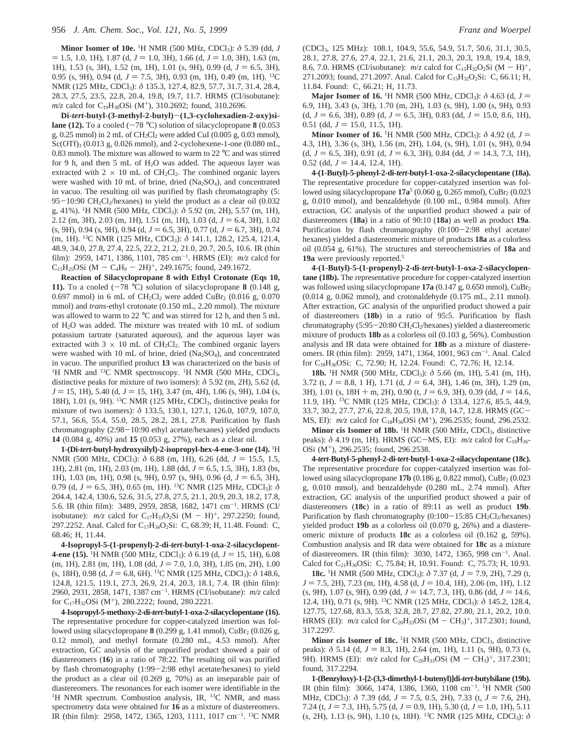**Minor Isomer of 10e.** 1H NMR (500 MHz, CDCl3): *δ* 5.39 (dd, *J*  $= 1.5, 1.0, 1H$ , 1.87 (d,  $J = 1.0, 3H$ ), 1.66 (d,  $J = 1.0, 3H$ ), 1.63 (m, 1H), 1.53 (s, 3H), 1.52 (m, 1H), 1.01 (s, 9H), 0.99 (d,  $J = 6.5$ , 3H), 0.95 (s, 9H), 0.94 (d,  $J = 7.5$ , 3H), 0.93 (m, 1H), 0.49 (m, 1H). <sup>13</sup>C NMR (125 MHz, CDCl3): *δ* 135.3, 127.4, 82.9, 57.7, 31.7, 31.4, 28.4, 28.3, 27.5, 23.5, 22.8, 20.4, 19.8, 19.7, 11.7. HRMS (CI/isobutane): *m/z* calcd for C<sub>19</sub>H<sub>38</sub>OSi (M<sup>+</sup>), 310.2692; found, 310.2696.

**Di-***tert***-butyl-(3-methyl-2-butyl)**-**(1,3-cyclohexadien-2-oxy)silane (12).** To a cooled  $(-78 \degree C)$  solution of silacyclopropane **8** (0.053) g,  $0.25$  mmol) in 2 mL of CH<sub>2</sub>Cl<sub>2</sub> were added CuI (0.005 g, 0.03 mmol), Sc(OTf)<sub>3</sub> (0.013 g, 0.026 mmol), and 2-cyclohexene-1-one (0.080 mL, 0.83 mmol). The mixture was allowed to warm to 22 °C and was stirred for 9 h, and then 5 mL of H<sub>2</sub>O was added. The aqueous layer was extracted with  $2 \times 10$  mL of CH<sub>2</sub>Cl<sub>2</sub>. The combined organic layers were washed with 10 mL of brine, dried (Na<sub>2</sub>SO<sub>4</sub>), and concentrated in vacuo. The resulting oil was purified by flash chromatography (5:  $95-10:90 \text{ CH}_2\text{Cl}_2$ /hexanes) to yield the product as a clear oil (0.032 g, 41%). 1H NMR (500 MHz, CDCl3): *δ* 5.92 (m, 2H), 5.57 (m, 1H), 2.12 (m, 3H), 2.03 (m, 1H), 1.51 (m, 1H), 1.03 (d,  $J = 6.4$ , 3H), 1.02 (s, 9H), 0.94 (s, 9H), 0.94 (d,  $J = 6.5$ , 3H), 0.77 (d,  $J = 6.7$ , 3H), 0.74 (m, 1H). 13C NMR (125 MHz, CDCl3): *δ* 141.1, 128.2, 125.4, 121.4, 48.9, 34.0, 27.8, 27.4, 22.5, 22.2, 21.2, 21.0, 20.7, 20.5, 10.6. IR (thin film): 2959, 1471, 1386, 1101, 785 cm-<sup>1</sup> . HRMS (EI): *m/z* calcd for  $C_{15}H_{25}OSi$  (M  $-C_{4}H_{9} - 2H)^{+}$ , 249.1675; found, 249.1672.

**Reaction of Silacyclopropane 8 with Ethyl Crotonate (Eqs 10, 11).** To a cooled  $(-78 \text{ °C})$  solution of silacyclopropane 8 (0.148 g, 0.697 mmol) in 6 mL of  $CH_2Cl_2$  were added CuBr<sub>2</sub> (0.016 g, 0.070) mmol) and *trans*-ethyl crotonate (0.150 mL, 2.20 mmol). The mixture was allowed to warm to 22 °C and was stirred for 12 h, and then 5 mL of H2O was added. The mixture was treated with 10 mL of sodium potassium tartrate (saturated aqueous), and the aqueous layer was extracted with  $3 \times 10$  mL of CH<sub>2</sub>Cl<sub>2</sub>. The combined organic layers were washed with 10 mL of brine, dried (Na<sub>2</sub>SO<sub>4</sub>), and concentrated in vacuo. The unpurified product **13** was characterized on the basis of <sup>1</sup>H NMR and <sup>13</sup>C NMR spectroscopy. <sup>1</sup>H NMR (500 MHz, CDCl<sub>3</sub>, distinctive peaks for mixture of two isomers): *δ* 5.92 (m, 2H), 5.62 (d,  $J = 15, 1H$ ), 5.40 (d,  $J = 15, 1H$ ), 3.47 (m, 4H), 1.06 (s, 9H), 1.04 (s, 18H), 1.01 (s, 9H). <sup>13</sup>C NMR (125 MHz, CDCl<sub>3</sub>, distinctive peaks for mixture of two isomers): *δ* 133.5, 130.1, 127.1, 126.0, 107.9, 107.0, 57.1, 56.6, 55.4, 55.0, 28.5, 28.2, 28.1, 27.8. Purification by flash chromatography (2:98-10:90 ethyl acetate/hexanes) yielded products **14** (0.084 g, 40%) and **15** (0.053 g, 27%), each as a clear oil.

**1-(Di-***tert***-butyl-hydroxysilyl)-2-isopropyl-hex-4-ene-3-one (14).** <sup>1</sup> H NMR (500 MHz, CDCl<sub>3</sub>): δ 6.88 (m, 1H), 6.26 (dd, *J* = 15.5, 1.5, 1H), 2.81 (m, 1H), 2.03 (m, 1H), 1.88 (dd,  $J = 6.5$ , 1.5, 3H), 1.83 (bs, 1H), 1.03 (m, 1H), 0.98 (s, 9H), 0.97 (s, 9H), 0.96 (d,  $J = 6.5$ , 3H), 0.79 (d,  $J = 6.5$ , 3H), 0.65 (m, 1H). <sup>13</sup>C NMR (125 MHz, CDCl<sub>3</sub>):  $\delta$ 204.4, 142.4, 130.6, 52.6, 31.5, 27.8, 27.5, 21.1, 20.9, 20.3, 18.2, 17.8, 5.6. IR (thin film): 3489, 2959, 2858, 1682, 1471 cm<sup>-1</sup>. HRMS (CI/ isobutane):  $m/z$  calcd for C<sub>17</sub>H<sub>33</sub>O<sub>2</sub>Si (M - H)<sup>+</sup>, 297.2250; found, 297.2252. Anal. Calcd for C<sub>17</sub>H<sub>34</sub>O<sub>2</sub>Si: C, 68.39; H, 11.48. Found: C, 68.46; H, 11.44.

**4-Isopropyl-5-(1-propenyl)-2-di-***tert***-butyl-1-oxa-2-silacyclopent-4-ene (15).** <sup>1</sup>H NMR (500 MHz, CDCl<sub>3</sub>):  $\delta$  6.19 (d, *J* = 15, 1H), 6.08 (m 1H) 2.81 (m 1H) 1.08 (dd *I* = 7.0, 1.0, 3H) 1.05 (m 2H) 1.00  $(m, 1H)$ , 2.81  $(m, 1H)$ , 1.08  $(dd, J = 7.0, 1.0, 3H)$ , 1.05  $(m, 2H)$ , 1.00  $(s, 18H)$ , 0.98 (d,  $J = 6.8$ , 6H). <sup>13</sup>C NMR (125 MHz, CDCl<sub>3</sub>):  $\delta$  148.6, 124.8, 121.5, 119.1, 27.3, 26.9, 21.4, 20.3, 18.1, 7.4. IR (thin film): 2960, 2931, 2858, 1471, 1387 cm-<sup>1</sup> . HRMS (CI/isobutane): *m/z* calcd for C<sub>17</sub>H<sub>32</sub>OSi (M<sup>+</sup>), 280.2222; found, 280.2221.

**4-Isopropyl-5-methoxy-2-di-***tert***-butyl-1-oxa-2-silacyclopentane (16).** The representative procedure for copper-catalyzed insertion was followed using silacyclopropane  $8(0.299 \text{ g}, 1.41 \text{ mmol})$ , CuBr<sub>2</sub> $(0.026 \text{ g},$ 0.12 mmol), and methyl formate (0.280 mL, 4.53 mmol). After extraction, GC analysis of the unpurified product showed a pair of diastereomers (**16**) in a ratio of 78:22. The resulting oil was purified by flash chromatography (1:99-2:98 ethyl acetate/hexanes) to yield the product as a clear oil (0.269 g, 70%) as an inseparable pair of diastereomers. The resonances for each isomer were identifiable in the <sup>1</sup>H NMR spectrum. Combustion analysis, IR, <sup>13</sup>C NMR, and mass spectrometry data were obtained for **16** as a mixture of diastereomers. IR (thin film): 2958, 1472, 1365, 1203, 1111, 1017 cm<sup>-1</sup>. <sup>13</sup>C NMR

(CDCl3, 125 MHz): 108.1, 104.9, 55.6, 54.9, 51.7, 50.6, 31.1, 30.5, 28.1, 27.8, 27.6, 27.4, 22.1, 21.6, 21.1, 20.3, 20.3, 19.8, 19.4, 18.9, 8.6, 7.0. HRMS (CI/isobutane):  $m/z$  calcd for C<sub>15</sub>H<sub>32</sub>O<sub>2</sub>Si (M - H)<sup>+</sup>, 271.2093; found, 271.2097. Anal. Calcd for C<sub>15</sub>H<sub>32</sub>O<sub>2</sub>Si: C, 66.11; H, 11.84. Found: C, 66.21; H, 11.73.

**Major Isomer of 16.** <sup>1</sup>H NMR (500 MHz, CDCl<sub>3</sub>): *δ* 4.63 (d, *J* = 1H) 3.43 (c, 3H) 1.70 (m, 2H) 1.03 (c, 9H) 1.00 (c, 9H) 0.93 6.9, 1H), 3.43 (s, 3H), 1.70 (m, 2H), 1.03 (s, 9H), 1.00 (s, 9H), 0.93  $(d, J = 6.6, 3H)$ , 0.89  $(d, J = 6.5, 3H)$ , 0.83  $(dd, J = 15.0, 8.6, 1H)$ ,  $0.51$  (dd,  $J = 15.0, 11.5, 1H$ ).

**Minor Isomer of 16.** <sup>1</sup>H NMR (500 MHz, CDCl<sub>3</sub>):  $\delta$  4.92 (d,  $J =$ 4.3, 1H), 3.36 (s, 3H), 1.56 (m, 2H), 1.04, (s, 9H), 1.01 (s, 9H), 0.94  $(d, J = 6.5, 3H)$ , 0.91  $(d, J = 6.3, 3H)$ , 0.84  $(dd, J = 14.3, 7.3, 1H)$ ,  $0.52$  (dd,  $J = 14.4$ , 12.4, 1H).

**4-(1-Butyl)-5-phenyl-2-di-***tert***-butyl-1-oxa-2-silacyclopentane (18a).** The representative procedure for copper-catalyzed insertion was followed using silacyclopropane **17a**<sup>5</sup> (0.060 g, 0.265 mmol), CuBr<sub>2</sub> (0.023 g, 0.010 mmol), and benzaldehyde (0.100 mL, 0.984 mmol). After extraction, GC analysis of the unpurified product showed a pair of diastereomers (**18a**) in a ratio of 90:10 (**18a**) as well as product **19a**. Purification by flash chromatography (0:100-2:98 ethyl acetate/ hexanes) yielded a diastereomeric mixture of products **18a** as a colorless oil (0.054 g, 61%). The structures and stereochemistries of **18a** and **19a** were previously reported.5

**4-(1-Butyl)-5-(1-propenyl)-2-di-***tert***-butyl-1-oxa-2-silacyclopentane (18b).** The representative procedure for copper-catalyzed insertion was followed using silacyclopropane 17a (0.147 g, 0.650 mmol), CuBr<sub>2</sub> (0.014 g, 0.062 mmol), and crotonaldehyde (0.175 mL, 2.11 mmol). After extraction, GC analysis of the unpurified product showed a pair of diastereomers (**18b**) in a ratio of 95:5. Purification by flash chromatography (5:95-20:80 CH<sub>2</sub>Cl<sub>2</sub>/hexanes) yielded a diastereomeric mixture of products **18b** as a colorless oil (0.103 g, 56%). Combustion analysis and IR data were obtained for **18b** as a mixture of diastereomers. IR (thin film): 2959, 1471, 1364, 1001, 963 cm-<sup>1</sup> . Anal. Calcd for C18H36OSi: C, 72.90; H, 12.24. Found: C, 72.76; H, 12.14.

**18b.** <sup>1</sup>H NMR (500 MHz, CDCl<sub>3</sub>):  $\delta$  5.66 (m, 1H), 5.41 (m, 1H), 3.72 (t,  $J = 8.8$ , 1 H), 1.71 (d,  $J = 6.4$ , 3H), 1.46 (m, 3H), 1.29 (m, 3H), 1.01 (s,  $18H + m$ , 2H), 0.90 (t,  $J = 6.9$ , 3H), 0.39 (dd,  $J = 14.6$ , 11.9, 1H). 13C NMR (125 MHz, CDCl3): *δ* 133.4, 127.6, 85.5, 44.9, 33.7, 30.2, 27.7, 27.6, 22.8, 20.5, 19.8, 17.8, 14.7, 12.8. HRMS (GC-MS, EI):  $m/z$  calcd for C<sub>18</sub>H<sub>36</sub>OSi (M<sup>+</sup>), 296.2535; found, 296.2532.

Minor cis Isomer of 18b. <sup>1</sup>H NMR (500 MHz, CDCl<sub>3</sub>, distinctive peaks):  $\delta$  4.19 (m, 1H). HRMS (GC-MS, EI): *m/z* calcd for C<sub>18</sub>H<sub>36</sub>-OSi (M+), 296.2535; found, 296.2538.

**4-***tert***-Butyl-5-phenyl-2-di-***tert***-butyl-1-oxa-2-silacyclopentane (18c).** The representative procedure for copper-catalyzed insertion was followed using silacyclopropane **17b** (0.186 g, 0.822 mmol), CuBr<sub>2</sub> (0.023) g, 0.010 mmol), and benzaldehyde (0.280 mL, 2.74 mmol). After extraction, GC analysis of the unpurified product showed a pair of diastereomers (**18c**) in a ratio of 89:11 as well as product **19b**. Purification by flash chromatography  $(0:100-15:85 \text{ CH}_2\text{Cl}_2/\text{hexanes})$ yielded product **19b** as a colorless oil (0.070 g, 26%) and a diastereomeric mixture of products **18c** as a colorless oil (0.162 g, 59%). Combustion analysis and IR data were obtained for **18c** as a mixture of diastereomers. IR (thin film): 3030, 1472, 1365, 998 cm<sup>-1</sup>. Anal. Calcd for C<sub>21</sub>H<sub>36</sub>OSi: C, 75.84; H, 10.91. Found: C, 75.73; H, 10.93.

**18c.** <sup>1</sup>H NMR (500 MHz, CDCl<sub>3</sub>):  $\delta$  7.37 (d, *J* = 7.9, 2H), 7.29 (t,  $J = 7.5, 2H$ , 7.23 (m, 1H), 4.58 (d,  $J = 10.4, 1H$ ), 2.06 (m, 1H), 1.12  $(s, 9H)$ , 1.07  $(s, 9H)$ , 0.99 (dd,  $J = 14.7, 7.3, 1H$ ), 0.86 (dd,  $J = 14.6$ , 12.4, 1H), 0.71 (s, 9H). 13C NMR (125 MHz, CDCl3): *δ* 145.2, 128.4, 127.75, 127.68, 83.3, 55.8, 32.8, 28.7, 27.82, 27.80, 21.1, 20.2, 10.0. HRMS (EI):  $m/z$  calcd for C<sub>20</sub>H<sub>33</sub>OSi (M - CH<sub>3</sub>)<sup>+</sup>, 317.2301; found, 317.2297.

**Minor cis Isomer of 18c.** <sup>1</sup>H NMR (500 MHz, CDCl<sub>3</sub>, distinctive peaks): *δ* 5.14 (d, *J* = 8.3, 1H), 2.64 (m, 1H), 1.11 (s, 9H), 0.73 (s, 9H). HRMS (EI):  $m/z$  calcd for C<sub>20</sub>H<sub>33</sub>OSi (M - CH<sub>3</sub>)<sup>+</sup>, 317.2301; found, 317.2294.

**1-(Benzyloxy)-1-[2-(3,3-dimethyl-1-butenyl)]di-***tert***-butylsilane (19b).** IR (thin film): 3066, 1474, 1386, 1360, 1108 cm-1. 1H NMR (500 MHz, CDCl<sub>3</sub>): δ 7.39 (dd, *J* = 7.5, 0.5, 2H), 7.33 (t, *J* = 7.6, 2H), 7.24 (t,  $J = 7.3$ , 1H), 5.75 (d,  $J = 0.9$ , 1H), 5.30 (d,  $J = 1.0$ , 1H), 5.11 (s, 2H), 1.13 (s, 9H), 1.10 (s, 18H). 13C NMR (125 MHz, CDCl3): *δ*